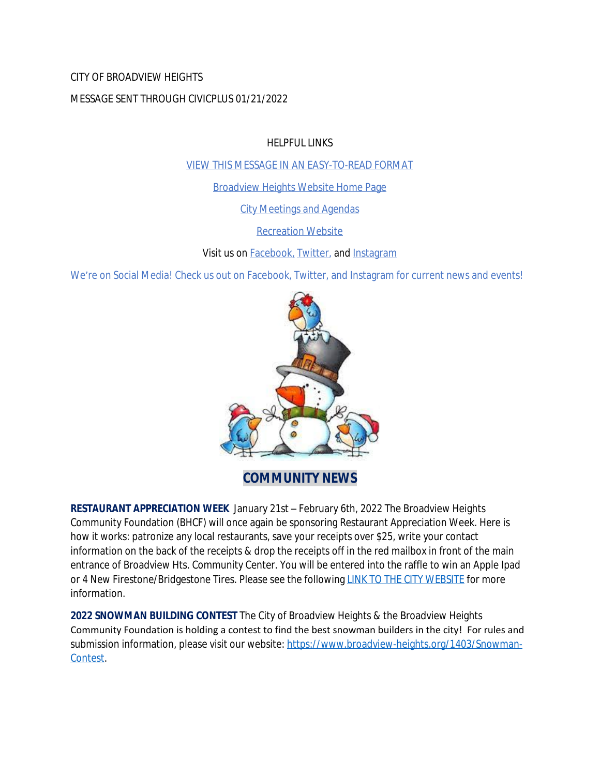### CITY OF BROADVIEW HEIGHTS

### MESSAGE SENT THROUGH CIVICPLUS 01/21/2022

HELPFUL LINKS

[VIEW THIS MESSAGE IN AN EASY-TO-READ FORMAT](https://www.broadview-heights.org/Archive.aspx?AMID=37)

[Broadview Heights Website Home Page](https://www.broadview-heights.org/)

[City Meetings and Agendas](https://www.broadview-heights.org/CivicAlerts.aspx?AID=175)

[Recreation Website](https://broadview-heights.org/292/Parks-Recreation)

Visit us on **Facebook**, **Twitter**, and **[Instagram](https://www.instagram.com/cityofbroadviewheights/)** 

We're on Social Media! Check us out on Facebook, Twitter, and Instagram for current news and events!



**COMMUNITY NEWS**

**RESTAURANT APPRECIATION WEEK** January 21st – February 6th, 2022 The Broadview Heights Community Foundation (BHCF) will once again be sponsoring Restaurant Appreciation Week. Here is how it works: patronize any local restaurants, save your receipts over \$25, write your contact information on the back of the receipts & drop the receipts off in the red mailbox in front of the main entrance of Broadview Hts. Community Center. You will be entered into the raffle to win an Apple Ipad or 4 New Firestone/Bridgestone Tires. Please see the following [LINK TO THE CITY WEBSITE](https://www.broadview-heights.org/CivicAlerts.aspx?AID=305) for more information.

**2022 SNOWMAN BUILDING CONTEST** The City of Broadview Heights & the Broadview Heights Community Foundation is holding a contest to find the best snowman builders in the city! For rules and submission information, please visit our website: [https://www.broadview-heights.org/1403/Snowman-](https://www.broadview-heights.org/1403/Snowman-Contest)Contest.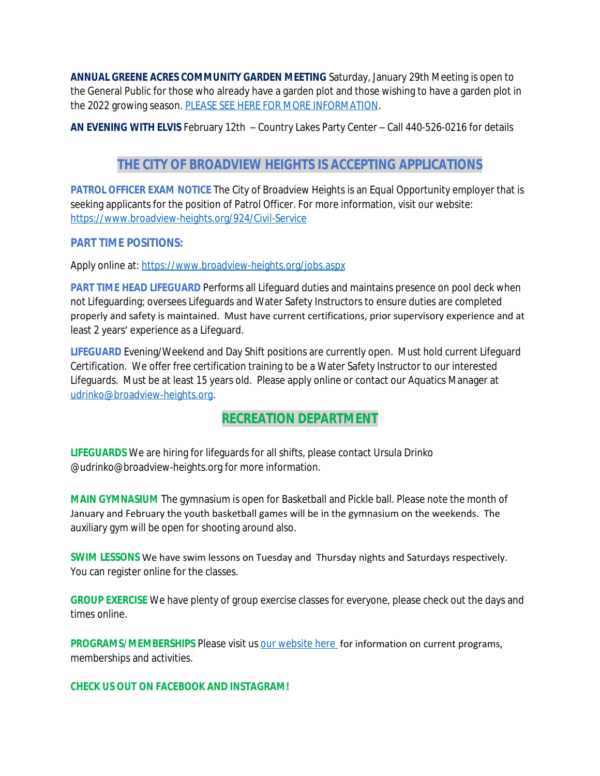**ANNUAL GREENE ACRES COMMUNITY GARDEN MEETING** Saturday, January 29th Meeting is open to the General Public for those who already have a garden plot and those wishing to have a garden plot in the 2022 growing season. [PLEASE SEE HERE FOR MORE INFORMATION](https://broadview-heights.org/Calendar.aspx?EID=3684).

**AN EVENING WITH ELVIS** February 12th – Country Lakes Party Center – Call 440-526-0216 for details

# **THE CITY OF BROADVIEW HEIGHTS IS ACCEPTING APPLICATIONS**

**PATROL OFFICER EXAM NOTICE** The City of Broadview Heights is an Equal Opportunity employer that is seeking applicants for the position of Patrol Officer. For more information, visit our website: <https://www.broadview-heights.org/924/Civil-Service>

### **PART TIME POSITIONS:**

Apply online at: <https://www.broadview-heights.org/jobs.aspx>

**PART TIME HEAD LIFEGUARD** Performs all Lifeguard duties and maintains presence on pool deck when not Lifeguarding; oversees Lifeguards and Water Safety Instructors to ensure duties are completed properly and safety is maintained. Must have current certifications, prior supervisory experience and at least 2 years' experience as a Lifeguard.

**LIFEGUARD** Evening/Weekend and Day Shift positions are currently open. Must hold current Lifeguard Certification. We offer free certification training to be a Water Safety Instructor to our interested Lifeguards. Must be at least 15 years old. Please apply online or contact our Aquatics Manager at [udrinko@broadview-heights.org](mailto:udrinko@broadview-heights.org).

# **RECREATION DEPARTMENT**

**LIFEGUARDS** We are hiring for lifeguards for all shifts, please contact Ursula Drinko @udrinko@broadview-heights.org for more information.

**MAIN GYMNASIUM** The gymnasium is open for Basketball and Pickle ball. Please note the month of January and February the youth basketball games will be in the gymnasium on the weekends. The auxiliary gym will be open for shooting around also.

**SWIM LESSONS** We have swim lessons on Tuesday and Thursday nights and Saturdays respectively. You can register online for the classes.

**GROUP EXERCISE** We have plenty of group exercise classes for everyone, please check out the days and times online.

**PROGRAMS/MEMBERSHIPS** Please visit us [our website here](https://www.broadview-heights.org/292/Parks-Recreation) for information on current programs, memberships and activities.

**CHECK US OUT ON FACEBOOK AND INSTAGRAM!**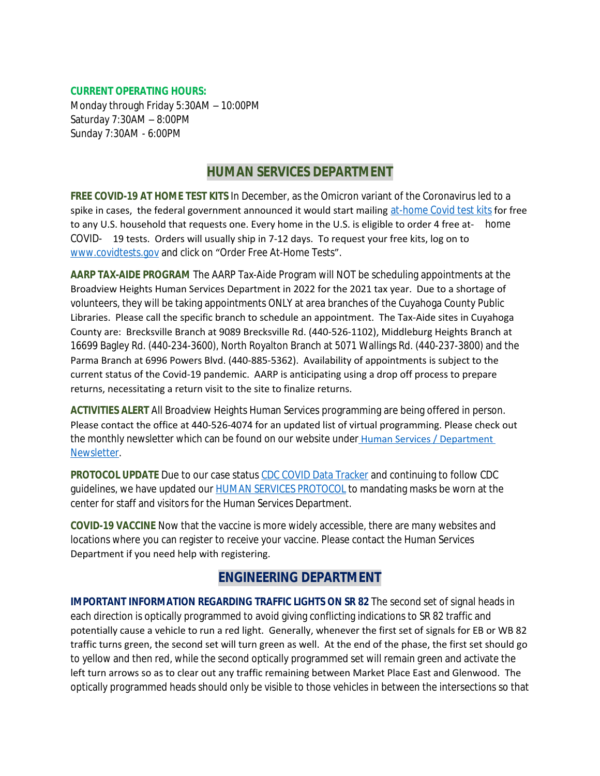#### **CURRENT OPERATING HOURS:**

Monday through Friday 5:30AM – 10:00PM Saturday 7:30AM – 8:00PM Sunday 7:30AM - 6:00PM

### **HUMAN SERVICES DEPARTMENT**

**FREE COVID-19 AT HOME TEST KITS** In December, as the Omicron variant of the Coronavirus led to a spike in cases, the federal government announced it would start mailing [at-home Covid test kits](https://www.nbcnews.com/health/cold-and-flu/startling-americans-feel-increased-anxiety-covid-cases-surge-rcna9415) for free to any U.S. household that requests one. Every home in the U.S. is eligible to order 4 free at- home COVID- 19 tests. Orders will usually ship in 7-12 days. To request your free kits, log on to [www.covidtests.gov](http://www.covidtests.gov) and click on "[Order Free At-Home Tests](http://www.covidtests.gov)".

**[AARP TAX-AIDE PROGRAM](http://www.covidtests.gov)** [The AARP Tax-Aide Program will NOT be scheduling appointments at the](http://www.covidtests.gov)  [Broadview Heights Human Services Department in 2022 for the 2021 tax year. Due to a shortage of](http://www.covidtests.gov)  [volunteers, they will be taking appointments ONLY at area branches of the Cuyahoga County Public](http://www.covidtests.gov)  [Libraries. Please call the specific branch to schedule an appointment. The Tax-Aide sites in Cuyahoga](http://www.covidtests.gov)  [County are: Brecksville Branch at 9089 Brecksville Rd. \(440-526-1102\), Middleburg Heights Branch at](http://www.covidtests.gov)  [16699 Bagley Rd. \(440-234-3600\), North Royalton Branch at 5071 Wallings Rd. \(440-237-3800\) and the](http://www.covidtests.gov)  [Parma Branch at 6996 Powers Blvd. \(440-885-5362\). Availability of appointments is subject to the](http://www.covidtests.gov)  [current status of the Covid-19 pandemic. AARP is anticipating using a drop off process to prepare](http://www.covidtests.gov)  [returns, necessitating a return visit to the site to finalize returns.](http://www.covidtests.gov) 

**[ACTIVITIES ALERT](http://www.covidtests.gov)** [All Broadview Heights Human Services programming are being offered in person.](http://www.covidtests.gov)  [Please contact the office at 440-526-4074 for an updated list of virtual programming. Please check out](http://www.covidtests.gov)  [the monthly newsletter which can be found on our website under](http://www.covidtests.gov) [Human Services / Department](https://mycommunityonline.com/find/broadview-heights-senior-center)  Newsletter.

**PROTOCOL UPDATE** Due to our case status [CDC COVID Data Tracker](https://covid.cdc.gov/covid-data-tracker/#county-view) and continuing to follow CDC guidelines, we have updated our **HUMAN SERVICES PROTOCOL** to mandating masks be worn at the center for staff and visitors for the Human Services Department.

**COVID-19 VACCINE** Now that the vaccine is more widely accessible, there are many websites and locations where you can register to receive your vaccine. Please contact the Human Services Department if you need help with registering.

## **ENGINEERING DEPARTMENT**

**IMPORTANT INFORMATION REGARDING TRAFFIC LIGHTS ON SR 82** The second set of signal heads in each direction is optically programmed to avoid giving conflicting indications to SR 82 traffic and potentially cause a vehicle to run a red light. Generally, whenever the first set of signals for EB or WB 82 traffic turns green, the second set will turn green as well. At the end of the phase, the first set should go to yellow and then red, while the second optically programmed set will remain green and activate the left turn arrows so as to clear out any traffic remaining between Market Place East and Glenwood. The optically programmed heads should only be visible to those vehicles in between the intersections so that